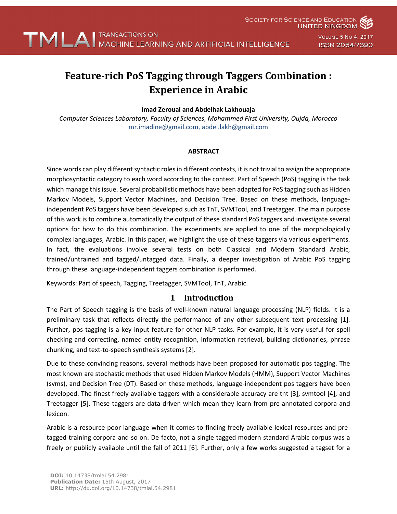

**SOCIETY FOR SCIENCE AND EDUCATION UNITED KINGDOM** 

> VOLUME 5 NO 4, 2017 **ISSN 2054-7390**

# **Feature-rich PoS Tagging through Taggers Combination : Experience in Arabic**

### **Imad Zeroual and Abdelhak Lakhouaja**

*Computer Sciences Laboratory, Faculty of Sciences, Mohammed First University, Oujda, Morocco* mr.imadine@gmail.com, abdel.lakh@gmail.com

#### **ABSTRACT**

Since words can play different syntactic roles in different contexts, it is not trivial to assign the appropriate morphosyntactic category to each word according to the context. Part of Speech (PoS) tagging is the task which manage this issue. Several probabilistic methods have been adapted for PoS tagging such as Hidden Markov Models, Support Vector Machines, and Decision Tree. Based on these methods, languageindependent PoS taggers have been developed such as TnT, SVMTool, and Treetagger. The main purpose of this work is to combine automatically the output of these standard PoS taggers and investigate several options for how to do this combination. The experiments are applied to one of the morphologically complex languages, Arabic. In this paper, we highlight the use of these taggers via various experiments. In fact, the evaluations involve several tests on both Classical and Modern Standard Arabic, trained/untrained and tagged/untagged data. Finally, a deeper investigation of Arabic PoS tagging through these language-independent taggers combination is performed.

Keywords: Part of speech, Tagging, Treetagger, SVMTool, TnT, Arabic.

### **1 Introduction**

The Part of Speech tagging is the basis of well-known natural language processing (NLP) fields. It is a preliminary task that reflects directly the performance of any other subsequent text processing [1]. Further, pos tagging is a key input feature for other NLP tasks. For example, it is very useful for spell checking and correcting, named entity recognition, information retrieval, building dictionaries, phrase chunking, and text-to-speech synthesis systems [2].

Due to these convincing reasons, several methods have been proposed for automatic pos tagging. The most known are stochastic methods that used Hidden Markov Models (HMM), Support Vector Machines (svms), and Decision Tree (DT). Based on these methods, language-independent pos taggers have been developed. The finest freely available taggers with a considerable accuracy are tnt [3], svmtool [4], and Treetagger [5]. These taggers are data-driven which mean they learn from pre-annotated corpora and lexicon.

Arabic is a resource-poor language when it comes to finding freely available lexical resources and pretagged training corpora and so on. De facto, not a single tagged modern standard Arabic corpus was a freely or publicly available until the fall of 2011 [6]. Further, only a few works suggested a tagset for a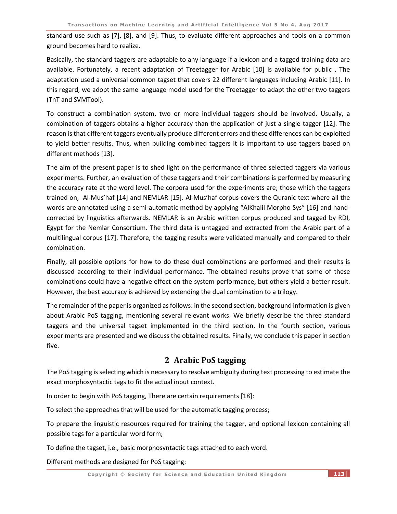standard use such as [7], [8], and [9]. Thus, to evaluate different approaches and tools on a common ground becomes hard to realize.

Basically, the standard taggers are adaptable to any language if a lexicon and a tagged training data are available. Fortunately, a recent adaptation of Treetagger for Arabic [10] is available for public . The adaptation used a universal common tagset that covers 22 different languages including Arabic [11]. In this regard, we adopt the same language model used for the Treetagger to adapt the other two taggers (TnT and SVMTool).

To construct a combination system, two or more individual taggers should be involved. Usually, a combination of taggers obtains a higher accuracy than the application of just a single tagger [12]. The reason is that different taggers eventually produce different errors and these differences can be exploited to yield better results. Thus, when building combined taggers it is important to use taggers based on different methods [13].

The aim of the present paper is to shed light on the performance of three selected taggers via various experiments. Further, an evaluation of these taggers and their combinations is performed by measuring the accuracy rate at the word level. The corpora used for the experiments are; those which the taggers trained on, Al-Mus'haf [14] and NEMLAR [15]. Al-Mus'haf corpus covers the Quranic text where all the words are annotated using a semi-automatic method by applying "AlKhalil Morpho Sys" [16] and handcorrected by linguistics afterwards. NEMLAR is an Arabic written corpus produced and tagged by RDI, Egypt for the Nemlar Consortium. The third data is untagged and extracted from the Arabic part of a multilingual corpus [17]. Therefore, the tagging results were validated manually and compared to their combination.

Finally, all possible options for how to do these dual combinations are performed and their results is discussed according to their individual performance. The obtained results prove that some of these combinations could have a negative effect on the system performance, but others yield a better result. However, the best accuracy is achieved by extending the dual combination to a trilogy.

The remainder of the paper is organized as follows: in the second section, background information is given about Arabic PoS tagging, mentioning several relevant works. We briefly describe the three standard taggers and the universal tagset implemented in the third section. In the fourth section, various experiments are presented and we discuss the obtained results. Finally, we conclude this paper in section five.

# **2 Arabic PoS tagging**

The PoS tagging is selecting which is necessary to resolve ambiguity during text processing to estimate the exact morphosyntactic tags to fit the actual input context.

In order to begin with PoS tagging, There are certain requirements [18]:

To select the approaches that will be used for the automatic tagging process;

To prepare the linguistic resources required for training the tagger, and optional lexicon containing all possible tags for a particular word form;

To define the tagset, i.e., basic morphosyntactic tags attached to each word.

Different methods are designed for PoS tagging: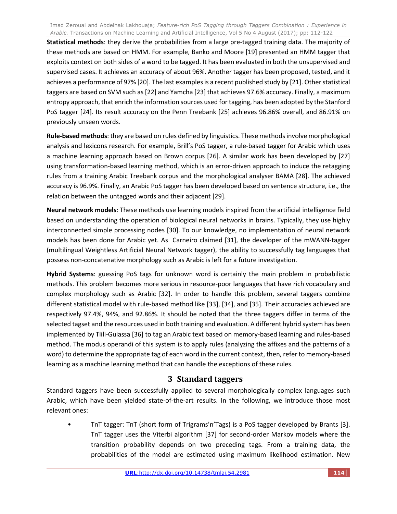**Statistical methods**: they derive the probabilities from a large pre-tagged training data. The majority of these methods are based on HMM. For example, Banko and Moore [19] presented an HMM tagger that exploits context on both sides of a word to be tagged. It has been evaluated in both the unsupervised and supervised cases. It achieves an accuracy of about 96%. Another tagger has been proposed, tested, and it achieves a performance of 97% [20]. The last examples is a recent published study by [21]. Other statistical taggers are based on SVM such as [22] and Yamcha [23] that achieves 97.6% accuracy. Finally, a maximum entropy approach, that enrich the information sources used for tagging, has been adopted by the Stanford PoS tagger [24]. Its result accuracy on the Penn Treebank [25] achieves 96.86% overall, and 86.91% on previously unseen words.

**Rule-based methods**: they are based on rules defined by linguistics. These methods involve morphological analysis and lexicons research. For example, Brill's PoS tagger, a rule-based tagger for Arabic which uses a machine learning approach based on Brown corpus [26]. A similar work has been developed by [27] using transformation-based learning method, which is an error-driven approach to induce the retagging rules from a training Arabic Treebank corpus and the morphological analyser BAMA [28]. The achieved accuracy is 96.9%. Finally, an Arabic PoS tagger has been developed based on sentence structure, i.e., the relation between the untagged words and their adjacent [29].

**Neural network models**: These methods use learning models inspired from the artificial intelligence field based on understanding the operation of biological neural networks in brains. Typically, they use highly interconnected simple processing nodes [30]. To our knowledge, no implementation of neural network models has been done for Arabic yet. As Carneiro claimed [31], the developer of the mWANN-tagger (multilingual Weightless Artificial Neural Network tagger), the ability to successfully tag languages that possess non-concatenative morphology such as Arabic is left for a future investigation.

**Hybrid Systems**: guessing PoS tags for unknown word is certainly the main problem in probabilistic methods. This problem becomes more serious in resource-poor languages that have rich vocabulary and complex morphology such as Arabic [32]. In order to handle this problem, several taggers combine different statistical model with rule-based method like [33], [34], and [35]. Their accuracies achieved are respectively 97.4%, 94%, and 92.86%. It should be noted that the three taggers differ in terms of the selected tagset and the resources used in both training and evaluation. A different hybrid system has been implemented by Tlili-Guiassa [36] to tag an Arabic text based on memory-based learning and rules-based method. The modus operandi of this system is to apply rules (analyzing the affixes and the patterns of a word) to determine the appropriate tag of each word in the current context, then, refer to memory-based learning as a machine learning method that can handle the exceptions of these rules.

# **3 Standard taggers**

Standard taggers have been successfully applied to several morphologically complex languages such Arabic, which have been yielded state-of-the-art results. In the following, we introduce those most relevant ones:

• TnT tagger: TnT (short form of Trigrams'n'Tags) is a PoS tagger developed by Brants [3]. TnT tagger uses the Viterbi algorithm [37] for second-order Markov models where the transition probability depends on two preceding tags. From a training data, the probabilities of the model are estimated using maximum likelihood estimation. New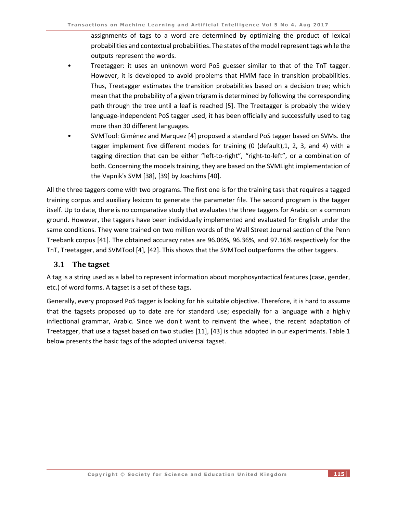assignments of tags to a word are determined by optimizing the product of lexical probabilities and contextual probabilities. The states of the model represent tags while the outputs represent the words.

- Treetagger: it uses an unknown word PoS guesser similar to that of the TnT tagger. However, it is developed to avoid problems that HMM face in transition probabilities. Thus, Treetagger estimates the transition probabilities based on a decision tree; which mean that the probability of a given trigram is determined by following the corresponding path through the tree until a leaf is reached [5]. The Treetagger is probably the widely language-independent PoS tagger used, it has been officially and successfully used to tag more than 30 different languages.
- SVMTool: Giménez and Marquez [4] proposed a standard PoS tagger based on SVMs. the tagger implement five different models for training (0 (default),1, 2, 3, and 4) with a tagging direction that can be either "left-to-right", "right-to-left", or a combination of both. Concerning the models training, they are based on the SVMLight implementation of the Vapnik's SVM [38], [39] by Joachims [40].

All the three taggers come with two programs. The first one is for the training task that requires a tagged training corpus and auxiliary lexicon to generate the parameter file. The second program is the tagger itself. Up to date, there is no comparative study that evaluates the three taggers for Arabic on a common ground. However, the taggers have been individually implemented and evaluated for English under the same conditions. They were trained on two million words of the Wall Street Journal section of the Penn Treebank corpus [41]. The obtained accuracy rates are 96.06%, 96.36%, and 97.16% respectively for the TnT, Treetagger, and SVMTool [4], [42]. This shows that the SVMTool outperforms the other taggers.

### **3.1** The tagset

A tag is a string used as a label to represent information about morphosyntactical features (case, gender, etc.) of word forms. A tagset is a set of these tags.

Generally, every proposed PoS tagger is looking for his suitable objective. Therefore, it is hard to assume that the tagsets proposed up to date are for standard use; especially for a language with a highly inflectional grammar, Arabic. Since we don't want to reinvent the wheel, the recent adaptation of Treetagger, that use a tagset based on two studies [11], [43] is thus adopted in our experiments. Table 1 below presents the basic tags of the adopted universal tagset.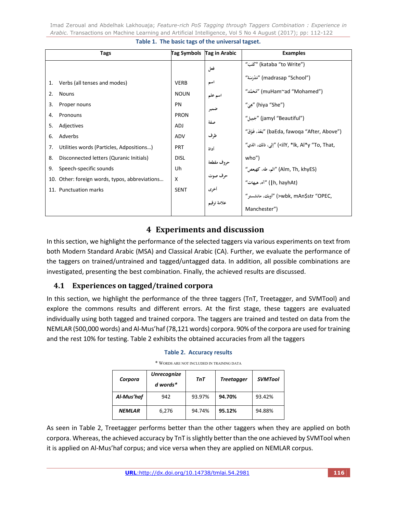|          | Tags                                           | <b>Tag Symbols</b>         | Tag in Arabic | <b>Examples</b>                                                          |
|----------|------------------------------------------------|----------------------------|---------------|--------------------------------------------------------------------------|
|          |                                                |                            | فعل           | ("kataba "to Write) "كُتَبَ)                                             |
| 1.<br>2. | Verbs (all tenses and modes)<br><b>Nouns</b>   | <b>VERB</b><br><b>NOUN</b> | اسم           | "مَدْرَسَة" (madrasap "School")<br>"مُحَمَّد" (muHam~ad "Mohamed")       |
| 3.       | Proper nouns                                   | PN                         | اسم علم       | "وِئ) (hiya "She")                                                       |
| 4.       | Pronouns                                       | <b>PRON</b>                | ضمير          | "jamyl "Beautiful") "جَمِيل)                                             |
| 5.       | Adjectives                                     | <b>ADJ</b>                 | صفة           | "بَعْدَ، فَوْقَ" (baEda, fawoqa "After, Above")                          |
| 6.       | Adverbs                                        | <b>ADV</b>                 | ظرف           |                                                                          |
| 7.       | Utilities words (Particles, Adpositions)       | <b>PRT</b>                 | أداة          | "إلى، ذلك، الذي" ( <ily, "to,="" *lk,="" al*y="" td="" that,<=""></ily,> |
| 8.       | Disconnected letters (Quranic Initials)        | <b>DISL</b>                | حروف مقطعة    | who")                                                                    |
| 9.       | Speech-specific sounds                         | Uh                         |               | "الم، طه، كهيعص) (Alm, Th, khyES)                                        |
|          | 10. Other: foreign words, typos, abbreviations | X                          | حرف صوت       | (h, hayhAt) "آه، هيهات"                                                  |
|          | 11. Punctuation marks                          | <b>SENT</b>                | أخرى          | ,ywbk, mAn\$str "OPEC") "أوبك، مانشستر"                                  |
|          |                                                |                            | علامة ترقيم   |                                                                          |
|          |                                                |                            |               | Manchester")                                                             |

#### **Table 1. The basic tags of the universal tagset.**

# **4 Experiments and discussion**

In this section, we highlight the performance of the selected taggers via various experiments on text from both Modern Standard Arabic (MSA) and Classical Arabic (CA). Further, we evaluate the performance of the taggers on trained/untrained and tagged/untagged data. In addition, all possible combinations are investigated, presenting the best combination. Finally, the achieved results are discussed.

# **4.1 Experiences on tagged/trained corpora**

In this section, we highlight the performance of the three taggers (TnT, Treetagger, and SVMTool) and explore the commons results and different errors. At the first stage, these taggers are evaluated individually using both tagged and trained corpora. The taggers are trained and tested on data from the NEMLAR (500,000 words) and Al-Mus'haf (78,121 words) corpora. 90% of the corpora are used for training and the rest 10% for testing. Table 2 exhibits the obtained accuracies from all the taggers

#### **Table 2. Accuracy results**

| - WORDS ARE NOT INCLUDED IN TRAINING DATA |                    |        |                   |                |  |  |
|-------------------------------------------|--------------------|--------|-------------------|----------------|--|--|
|                                           | <b>Unrecognize</b> | TnT    |                   | <b>SVMTool</b> |  |  |
| Corpora                                   | d words*           |        | <b>Treetagger</b> |                |  |  |
| Al-Mus'haf                                | 942                | 93.97% | 94.70%            | 93.42%         |  |  |
| <b>NEMLAR</b>                             | 6,276              | 94.74% | 95.12%            | 94.88%         |  |  |

\* WORDS ARE NOT INCLUDED IN TRAINING DATA

As seen in Table 2, Treetagger performs better than the other taggers when they are applied on both corpora. Whereas, the achieved accuracy by TnT is slightly better than the one achieved by SVMTool when it is applied on Al-Mus'haf corpus; and vice versa when they are applied on NEMLAR corpus.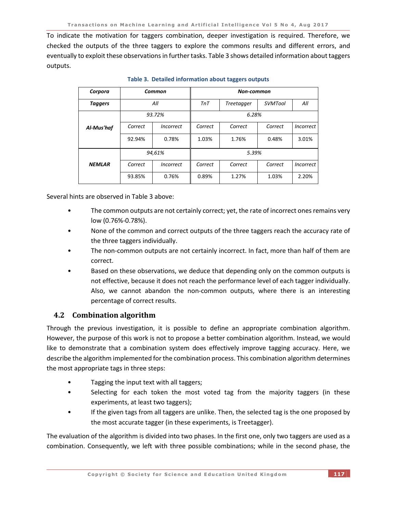To indicate the motivation for taggers combination, deeper investigation is required. Therefore, we checked the outputs of the three taggers to explore the commons results and different errors, and eventually to exploit these observations in further tasks. Table 3 shows detailed information about taggers outputs.

| Corpora        | Common  |                                |         | <b>Non-common</b> |                |                  |  |
|----------------|---------|--------------------------------|---------|-------------------|----------------|------------------|--|
| <b>Taggers</b> | All     |                                | TnT     | Treetagger        | <b>SVMTool</b> | All              |  |
|                | 93.72%  |                                | 6.28%   |                   |                |                  |  |
| Al-Mus'haf     | Correct | Incorrect                      | Correct | Correct           | Correct        | Incorrect        |  |
|                | 92.94%  | 0.78%                          | 1.03%   | 1.76%             | 0.48%          | 3.01%            |  |
| 94,61%         |         | 5.39%                          |         |                   |                |                  |  |
| <b>NEMLAR</b>  | Correct | <i><u><b>Incorrect</b></u></i> | Correct | Correct           | Correct        | <i>Incorrect</i> |  |
|                | 93.85%  | 0.76%                          | 0.89%   | 1.27%             | 1.03%          | 2.20%            |  |

**Table 3. Detailed information about taggers outputs**

Several hints are observed in Table 3 above:

- The common outputs are not certainly correct; yet, the rate of incorrect ones remains very low (0.76%-0.78%).
- None of the common and correct outputs of the three taggers reach the accuracy rate of the three taggers individually.
- The non-common outputs are not certainly incorrect. In fact, more than half of them are correct.
- Based on these observations, we deduce that depending only on the common outputs is not effective, because it does not reach the performance level of each tagger individually. Also, we cannot abandon the non-common outputs, where there is an interesting percentage of correct results.

# **4.2 Combination algorithm**

Through the previous investigation, it is possible to define an appropriate combination algorithm. However, the purpose of this work is not to propose a better combination algorithm. Instead, we would like to demonstrate that a combination system does effectively improve tagging accuracy. Here, we describe the algorithm implemented for the combination process. This combination algorithm determines the most appropriate tags in three steps:

- Tagging the input text with all taggers;
- Selecting for each token the most voted tag from the majority taggers (in these experiments, at least two taggers);
- If the given tags from all taggers are unlike. Then, the selected tag is the one proposed by the most accurate tagger (in these experiments, is Treetagger).

The evaluation of the algorithm is divided into two phases. In the first one, only two taggers are used as a combination. Consequently, we left with three possible combinations; while in the second phase, the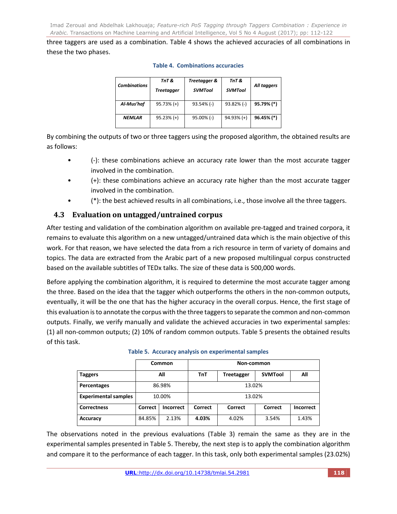three taggers are used as a combination. Table 4 shows the achieved accuracies of all combinations in these the two phases.

| <b>Combinations</b> | TnT &<br>Treetagger | Treetagger &<br><b>SVMTool</b> | TnT &<br><b>SVMTool</b> | All taggers |
|---------------------|---------------------|--------------------------------|-------------------------|-------------|
| Al-Mus'haf          | $95.73% (+)$        | $93.54\%$ (-)                  | $93.82\%$ (-)           | 95.79% (*)  |
| <b>NEMLAR</b>       | $95.23% (+)$        | $95.00\%$ (-)                  | $94.93\%$ (+)           | 96.45% (*)  |

### **Table 4. Combinations accuracies**

By combining the outputs of two or three taggers using the proposed algorithm, the obtained results are as follows:

- (-): these combinations achieve an accuracy rate lower than the most accurate tagger involved in the combination.
- (+): these combinations achieve an accuracy rate higher than the most accurate tagger involved in the combination.
- (\*): the best achieved results in all combinations, i.e., those involve all the three taggers.

# **4.3 Evaluation on untagged/untrained corpus**

After testing and validation of the combination algorithm on available pre-tagged and trained corpora, it remains to evaluate this algorithm on a new untagged/untrained data which is the main objective of this work. For that reason, we have selected the data from a rich resource in term of variety of domains and topics. The data are extracted from the Arabic part of a new proposed multilingual corpus constructed based on the available subtitles of TEDx talks. The size of these data is 500,000 words.

Before applying the combination algorithm, it is required to determine the most accurate tagger among the three. Based on the idea that the tagger which outperforms the others in the non-common outputs, eventually, it will be the one that has the higher accuracy in the overall corpus. Hence, the first stage of this evaluation is to annotate the corpus with the three taggers to separate the common and non-common outputs. Finally, we verify manually and validate the achieved accuracies in two experimental samples: (1) all non-common outputs; (2) 10% of random common outputs. Table 5 presents the obtained results of this task.

|                             |         | Common           |         | Non-common        |                |                  |  |
|-----------------------------|---------|------------------|---------|-------------------|----------------|------------------|--|
| <b>Taggers</b>              |         | All              | TnT     | <b>Treetagger</b> | <b>SVMTool</b> | All              |  |
| Percentages                 | 86.98%  |                  | 13.02%  |                   |                |                  |  |
| <b>Experimental samples</b> | 10.00%  |                  |         | 13.02%            |                |                  |  |
| <b>Correctness</b>          | Correct | <b>Incorrect</b> | Correct | Correct           | Correct        | <b>Incorrect</b> |  |
| Accuracy                    | 84.85%  | 2.13%            | 4.03%   | 4.02%             | 3.54%          | 1.43%            |  |

### **Table 5. Accuracy analysis on experimental samples**

The observations noted in the previous evaluations (Table 3) remain the same as they are in the experimental samples presented in Table 5. Thereby, the next step is to apply the combination algorithm and compare it to the performance of each tagger. In this task, only both experimental samples (23.02%)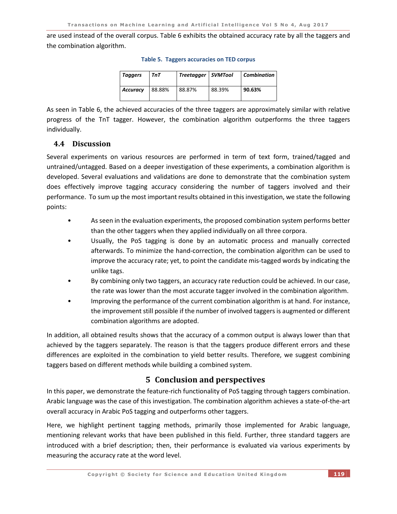are used instead of the overall corpus. Table 6 exhibits the obtained accuracy rate by all the taggers and the combination algorithm.

| <b>Taggers</b>  | TnT    | Treetagger | SVMTool | <b>Combination</b> |
|-----------------|--------|------------|---------|--------------------|
| <b>Accuracy</b> | 88.88% | 88.87%     | 88.39%  | 90.63%             |

#### **Table 5. Taggers accuracies on TED corpus**

As seen in Table 6, the achieved accuracies of the three taggers are approximately similar with relative progress of the TnT tagger. However, the combination algorithm outperforms the three taggers individually.

### **4.4 Discussion**

Several experiments on various resources are performed in term of text form, trained/tagged and untrained/untagged. Based on a deeper investigation of these experiments, a combination algorithm is developed. Several evaluations and validations are done to demonstrate that the combination system does effectively improve tagging accuracy considering the number of taggers involved and their performance. To sum up the most important results obtained in this investigation, we state the following points:

- As seen in the evaluation experiments, the proposed combination system performs better than the other taggers when they applied individually on all three corpora.
- Usually, the PoS tagging is done by an automatic process and manually corrected afterwards. To minimize the hand-correction, the combination algorithm can be used to improve the accuracy rate; yet, to point the candidate mis-tagged words by indicating the unlike tags.
- By combining only two taggers, an accuracy rate reduction could be achieved. In our case, the rate was lower than the most accurate tagger involved in the combination algorithm.
- Improving the performance of the current combination algorithm is at hand. For instance, the improvement still possible if the number of involved taggers is augmented or different combination algorithms are adopted.

In addition, all obtained results shows that the accuracy of a common output is always lower than that achieved by the taggers separately. The reason is that the taggers produce different errors and these differences are exploited in the combination to yield better results. Therefore, we suggest combining taggers based on different methods while building a combined system.

# **5 Conclusion and perspectives**

In this paper, we demonstrate the feature-rich functionality of PoS tagging through taggers combination. Arabic language was the case of this investigation. The combination algorithm achieves a state-of-the-art overall accuracy in Arabic PoS tagging and outperforms other taggers.

Here, we highlight pertinent tagging methods, primarily those implemented for Arabic language, mentioning relevant works that have been published in this field. Further, three standard taggers are introduced with a brief description; then, their performance is evaluated via various experiments by measuring the accuracy rate at the word level.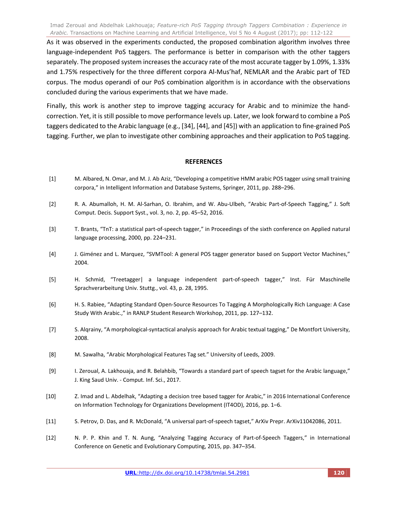As it was observed in the experiments conducted, the proposed combination algorithm involves three language-independent PoS taggers. The performance is better in comparison with the other taggers separately. The proposed system increases the accuracy rate of the most accurate tagger by 1.09%, 1.33% and 1.75% respectively for the three different corpora Al-Mus'haf, NEMLAR and the Arabic part of TED corpus. The modus operandi of our PoS combination algorithm is in accordance with the observations concluded during the various experiments that we have made.

Finally, this work is another step to improve tagging accuracy for Arabic and to minimize the handcorrection. Yet, it is still possible to move performance levels up. Later, we look forward to combine a PoS taggers dedicated to the Arabic language (e.g., [34], [44], and [45]) with an application to fine-grained PoS tagging. Further, we plan to investigate other combining approaches and their application to PoS tagging.

#### **REFERENCES**

- [1] M. Albared, N. Omar, and M. J. Ab Aziz, "Developing a competitive HMM arabic POS tagger using small training corpora," in Intelligent Information and Database Systems, Springer, 2011, pp. 288–296.
- [2] R. A. Abumalloh, H. M. Al-Sarhan, O. Ibrahim, and W. Abu-Ulbeh, "Arabic Part-of-Speech Tagging," J. Soft Comput. Decis. Support Syst., vol. 3, no. 2, pp. 45–52, 2016.
- [3] T. Brants, "TnT: a statistical part-of-speech tagger," in Proceedings of the sixth conference on Applied natural language processing, 2000, pp. 224–231.
- [4] J. Giménez and L. Marquez, "SVMTool: A general POS tagger generator based on Support Vector Machines," 2004.
- [5] H. Schmid, "Treetagger| a language independent part-of-speech tagger," Inst. Für Maschinelle Sprachverarbeitung Univ. Stuttg., vol. 43, p. 28, 1995.
- [6] H. S. Rabiee, "Adapting Standard Open-Source Resources To Tagging A Morphologically Rich Language: A Case Study With Arabic.," in RANLP Student Research Workshop, 2011, pp. 127–132.
- [7] S. Alqrainy, "A morphological-syntactical analysis approach for Arabic textual tagging," De Montfort University, 2008.
- [8] M. Sawalha, "Arabic Morphological Features Tag set." University of Leeds, 2009.
- [9] I. Zeroual, A. Lakhouaja, and R. Belahbib, "Towards a standard part of speech tagset for the Arabic language," J. King Saud Univ. - Comput. Inf. Sci., 2017.
- [10] Z. Imad and L. Abdelhak, "Adapting a decision tree based tagger for Arabic," in 2016 International Conference on Information Technology for Organizations Development (IT4OD), 2016, pp. 1–6.
- [11] S. Petrov, D. Das, and R. McDonald, "A universal part-of-speech tagset," ArXiv Prepr. ArXiv11042086, 2011.
- [12] N. P. P. Khin and T. N. Aung, "Analyzing Tagging Accuracy of Part-of-Speech Taggers," in International Conference on Genetic and Evolutionary Computing, 2015, pp. 347–354.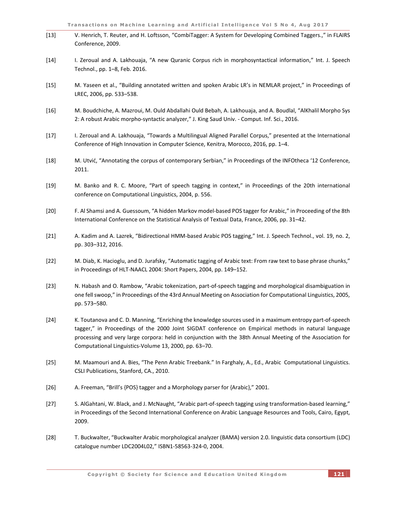| $[13]$ | V. Henrich, T. Reuter, and H. Loftsson, "CombiTagger: A System for Developing Combined Taggers.," in FLAIRS<br>Conference, 2009.                                                                                                                                                                                                                                                         |
|--------|------------------------------------------------------------------------------------------------------------------------------------------------------------------------------------------------------------------------------------------------------------------------------------------------------------------------------------------------------------------------------------------|
| $[14]$ | I. Zeroual and A. Lakhouaja, "A new Quranic Corpus rich in morphosyntactical information," Int. J. Speech<br>Technol., pp. 1-8, Feb. 2016.                                                                                                                                                                                                                                               |
| $[15]$ | M. Yaseen et al., "Building annotated written and spoken Arabic LR's in NEMLAR project," in Proceedings of<br>LREC, 2006, pp. 533-538.                                                                                                                                                                                                                                                   |
| $[16]$ | M. Boudchiche, A. Mazroui, M. Ould Abdallahi Ould Bebah, A. Lakhouaja, and A. Boudlal, "AlKhalil Morpho Sys<br>2: A robust Arabic morpho-syntactic analyzer," J. King Saud Univ. - Comput. Inf. Sci., 2016.                                                                                                                                                                              |
| $[17]$ | I. Zeroual and A. Lakhouaja, "Towards a Multilingual Aligned Parallel Corpus," presented at the International<br>Conference of High Innovation in Computer Science, Kenitra, Morocco, 2016, pp. 1-4.                                                                                                                                                                                     |
| $[18]$ | M. Utvić, "Annotating the corpus of contemporary Serbian," in Proceedings of the INFOtheca '12 Conference,<br>2011.                                                                                                                                                                                                                                                                      |
| $[19]$ | M. Banko and R. C. Moore, "Part of speech tagging in context," in Proceedings of the 20th international<br>conference on Computational Linguistics, 2004, p. 556.                                                                                                                                                                                                                        |
| $[20]$ | F. Al Shamsi and A. Guessoum, "A hidden Markov model-based POS tagger for Arabic," in Proceeding of the 8th<br>International Conference on the Statistical Analysis of Textual Data, France, 2006, pp. 31-42.                                                                                                                                                                            |
| $[21]$ | A. Kadim and A. Lazrek, "Bidirectional HMM-based Arabic POS tagging," Int. J. Speech Technol., vol. 19, no. 2,<br>pp. 303-312, 2016.                                                                                                                                                                                                                                                     |
| $[22]$ | M. Diab, K. Hacioglu, and D. Jurafsky, "Automatic tagging of Arabic text: From raw text to base phrase chunks,"<br>in Proceedings of HLT-NAACL 2004: Short Papers, 2004, pp. 149-152.                                                                                                                                                                                                    |
| $[23]$ | N. Habash and O. Rambow, "Arabic tokenization, part-of-speech tagging and morphological disambiguation in<br>one fell swoop," in Proceedings of the 43rd Annual Meeting on Association for Computational Linguistics, 2005,<br>pp. 573-580.                                                                                                                                              |
| $[24]$ | K. Toutanova and C. D. Manning, "Enriching the knowledge sources used in a maximum entropy part-of-speech<br>tagger," in Proceedings of the 2000 Joint SIGDAT conference on Empirical methods in natural language<br>processing and very large corpora: held in conjunction with the 38th Annual Meeting of the Association for<br>Computational Linguistics-Volume 13, 2000, pp. 63-70. |
| $[25]$ | M. Maamouri and A. Bies, "The Penn Arabic Treebank." In Farghaly, A., Ed., Arabic Computational Linguistics.<br>CSLI Publications, Stanford, CA., 2010.                                                                                                                                                                                                                                  |
| $[26]$ | A. Freeman, "Brill's {POS} tagger and a Morphology parser for {Arabic}," 2001.                                                                                                                                                                                                                                                                                                           |
| $[27]$ | S. AlGahtani, W. Black, and J. McNaught, "Arabic part-of-speech tagging using transformation-based learning,"<br>in Proceedings of the Second International Conference on Arabic Language Resources and Tools, Cairo, Egypt,<br>2009.                                                                                                                                                    |
| $[28]$ | T. Buckwalter, "Buckwalter Arabic morphological analyzer (BAMA) version 2.0. linguistic data consortium (LDC)<br>catalogue number LDC2004L02," ISBN1-58563-324-0, 2004.                                                                                                                                                                                                                  |